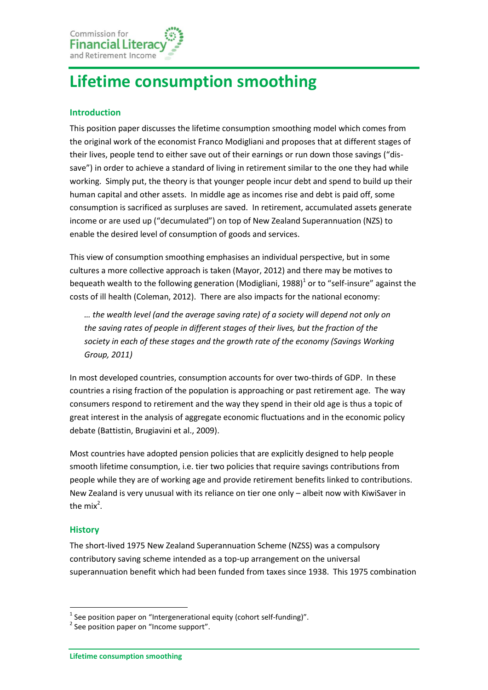Commission for **Financial Litera** and Retirement Income

# **Lifetime consumption smoothing**

## **Introduction**

This position paper discusses the lifetime consumption smoothing model which comes from the original work of the economist Franco Modigliani and proposes that at different stages of their lives, people tend to either save out of their earnings or run down those savings ("dissave") in order to achieve a standard of living in retirement similar to the one they had while working. Simply put, the theory is that younger people incur debt and spend to build up their human capital and other assets. In middle age as incomes rise and debt is paid off, some consumption is sacrificed as surpluses are saved. In retirement, accumulated assets generate income or are used up ("decumulated") on top of New Zealand Superannuation (NZS) to enable the desired level of consumption of goods and services.

This view of consumption smoothing emphasises an individual perspective, but in some cultures a more collective approach is taken (Mayor, 2012) and there may be motives to bequeath wealth to the following generation (Modigliani, 1988)<sup>1</sup> or to "self-insure" against the costs of ill health (Coleman, 2012). There are also impacts for the national economy:

*… the wealth level (and the average saving rate) of a society will depend not only on the saving rates of people in different stages of their lives, but the fraction of the society in each of these stages and the growth rate of the economy (Savings Working Group, 2011)*

In most developed countries, consumption accounts for over two-thirds of GDP. In these countries a rising fraction of the population is approaching or past retirement age. The way consumers respond to retirement and the way they spend in their old age is thus a topic of great interest in the analysis of aggregate economic fluctuations and in the economic policy debate (Battistin, Brugiavini et al., 2009).

Most countries have adopted pension policies that are explicitly designed to help people smooth lifetime consumption, i.e. tier two policies that require savings contributions from people while they are of working age and provide retirement benefits linked to contributions. New Zealand is very unusual with its reliance on tier one only – albeit now with KiwiSaver in the mix<sup>2</sup>.

## **History**

1

The short-lived 1975 New Zealand Superannuation Scheme (NZSS) was a compulsory contributory saving scheme intended as a top-up arrangement on the universal superannuation benefit which had been funded from taxes since 1938. This 1975 combination

 $<sup>1</sup>$  See position paper on "Intergenerational equity (cohort self-funding)".</sup>

<sup>&</sup>lt;sup>2</sup> See position paper on "Income support".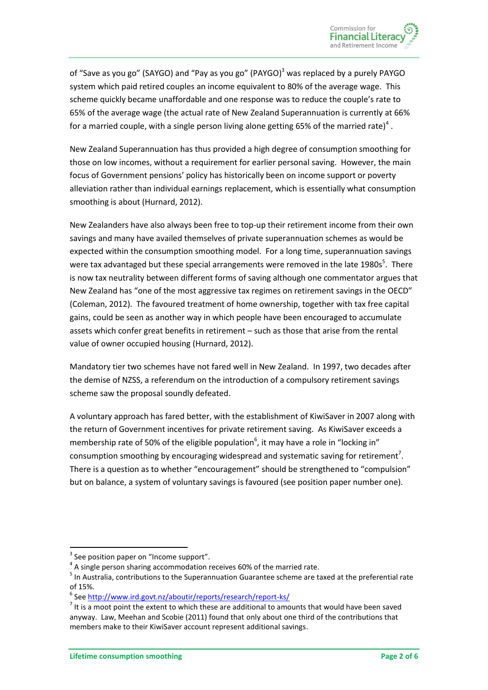of "Save as you go" (SAYGO) and "Pay as you go" (PAYGO)<sup>3</sup> was replaced by a purely PAYGO system which paid retired couples an income equivalent to 80% of the average wage. This scheme quickly became unaffordable and one response was to reduce the couple's rate to 65% of the average wage (the actual rate of New Zealand Superannuation is currently at 66% for a married couple, with a single person living alone getting 65% of the married rate)<sup>4</sup>.

New Zealand Superannuation has thus provided a high degree of consumption smoothing for those on low incomes, without a requirement for earlier personal saving. However, the main focus of Government pensions' policy has historically been on income support or poverty alleviation rather than individual earnings replacement, which is essentially what consumption smoothing is about (Hurnard, 2012).

New Zealanders have also always been free to top-up their retirement income from their own savings and many have availed themselves of private superannuation schemes as would be expected within the consumption smoothing model. For a long time, superannuation savings were tax advantaged but these special arrangements were removed in the late 1980s<sup>5</sup>. There is now tax neutrality between different forms of saving although one commentator argues that New Zealand has "one of the most aggressive tax regimes on retirement savings in the OECD" (Coleman, 2012). The favoured treatment of home ownership, together with tax free capital gains, could be seen as another way in which people have been encouraged to accumulate assets which confer great benefits in retirement – such as those that arise from the rental value of owner occupied housing (Hurnard, 2012).

Mandatory tier two schemes have not fared well in New Zealand. In 1997, two decades after the demise of NZSS, a referendum on the introduction of a compulsory retirement savings scheme saw the proposal soundly defeated.

A voluntary approach has fared better, with the establishment of KiwiSaver in 2007 along with the return of Government incentives for private retirement saving. As KiwiSaver exceeds a membership rate of 50% of the eligible population<sup>6</sup>, it may have a role in "locking in" consumption smoothing by encouraging widespread and systematic saving for retirement<sup>7</sup>. There is a question as to whether "encouragement" should be strengthened to "compulsion" but on balance, a system of voluntary savings is favoured (see position paper number one).

**.** 

 $3$  See position paper on "Income support".

 $<sup>4</sup>$  A single person sharing accommodation receives 60% of the married rate.</sup>

<sup>&</sup>lt;sup>5</sup> In Australia, contributions to the Superannuation Guarantee scheme are taxed at the preferential rate of 15%.

<sup>&</sup>lt;sup>6</sup> Se[e http://www.ird.govt.nz/aboutir/reports/research/report-ks/](http://www.ird.govt.nz/aboutir/reports/research/report-ks/)

 $<sup>7</sup>$  It is a moot point the extent to which these are additional to amounts that would have been saved</sup> anyway. Law, Meehan and Scobie (2011) found that only about one third of the contributions that members make to their KiwiSaver account represent additional savings.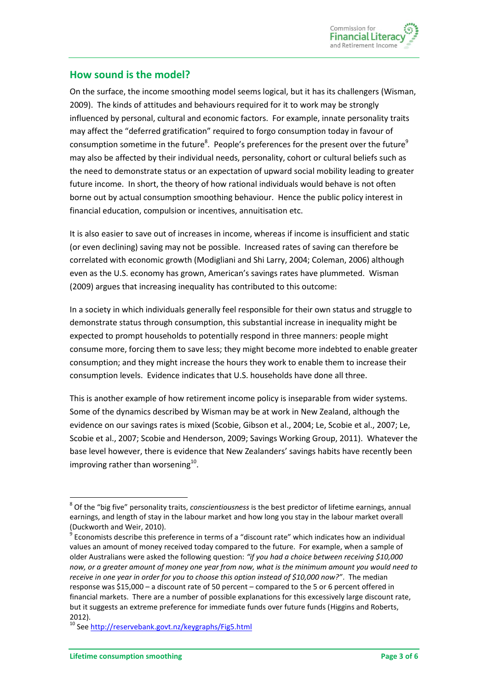

## **How sound is the model?**

On the surface, the income smoothing model seems logical, but it has its challengers (Wisman, 2009). The kinds of attitudes and behaviours required for it to work may be strongly influenced by personal, cultural and economic factors. For example, innate personality traits may affect the "deferred gratification" required to forgo consumption today in favour of consumption sometime in the future<sup>8</sup>. People's preferences for the present over the future<sup>9</sup> may also be affected by their individual needs, personality, cohort or cultural beliefs such as the need to demonstrate status or an expectation of upward social mobility leading to greater future income. In short, the theory of how rational individuals would behave is not often borne out by actual consumption smoothing behaviour. Hence the public policy interest in financial education, compulsion or incentives, annuitisation etc.

It is also easier to save out of increases in income, whereas if income is insufficient and static (or even declining) saving may not be possible. Increased rates of saving can therefore be correlated with economic growth (Modigliani and Shi Larry, 2004; Coleman, 2006) although even as the U.S. economy has grown, American's savings rates have plummeted. Wisman (2009) argues that increasing inequality has contributed to this outcome:

In a society in which individuals generally feel responsible for their own status and struggle to demonstrate status through consumption, this substantial increase in inequality might be expected to prompt households to potentially respond in three manners: people might consume more, forcing them to save less; they might become more indebted to enable greater consumption; and they might increase the hours they work to enable them to increase their consumption levels. Evidence indicates that U.S. households have done all three.

This is another example of how retirement income policy is inseparable from wider systems. Some of the dynamics described by Wisman may be at work in New Zealand, although the evidence on our savings rates is mixed (Scobie, Gibson et al., 2004; Le, Scobie et al., 2007; Le, Scobie et al., 2007; Scobie and Henderson, 2009; Savings Working Group, 2011). Whatever the base level however, there is evidence that New Zealanders' savings habits have recently been improving rather than worsening<sup>10</sup>.

**.** 

<sup>8</sup> Of the "big five" personality traits, *conscientiousness* is the best predictor of lifetime earnings, annual earnings, and length of stay in the labour market and how long you stay in the labour market overall (Duckworth and Weir, 2010).

 $9$  Economists describe this preference in terms of a "discount rate" which indicates how an individual values an amount of money received today compared to the future. For example, when a sample of older Australians were asked the following question: *"if you had a choice between receiving \$10,000 now, or a greater amount of money one year from now, what is the minimum amount you would need to receive in one year in order for you to choose this option instead of \$10,000 now?"*. The median response was \$15,000 – a discount rate of 50 percent – compared to the 5 or 6 percent offered in financial markets. There are a number of possible explanations for this excessively large discount rate, but it suggests an extreme preference for immediate funds over future funds (Higgins and Roberts, 2012).

<sup>&</sup>lt;sup>10</sup> Se[e http://reservebank.govt.nz/keygraphs/Fig5.html](http://reservebank.govt.nz/keygraphs/Fig5.html)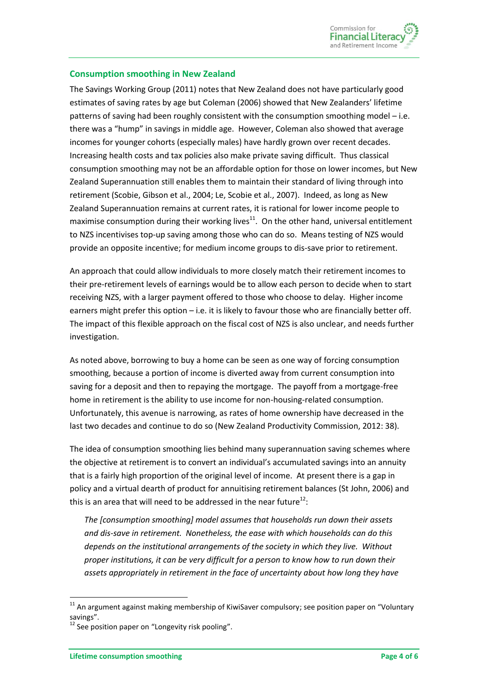#### **Consumption smoothing in New Zealand**

The Savings Working Group (2011) notes that New Zealand does not have particularly good estimates of saving rates by age but Coleman (2006) showed that New Zealanders' lifetime patterns of saving had been roughly consistent with the consumption smoothing model – i.e. there was a "hump" in savings in middle age. However, Coleman also showed that average incomes for younger cohorts (especially males) have hardly grown over recent decades. Increasing health costs and tax policies also make private saving difficult. Thus classical consumption smoothing may not be an affordable option for those on lower incomes, but New Zealand Superannuation still enables them to maintain their standard of living through into retirement (Scobie, Gibson et al., 2004; Le, Scobie et al., 2007). Indeed, as long as New Zealand Superannuation remains at current rates, it is rational for lower income people to maximise consumption during their working lives $^{11}$ . On the other hand, universal entitlement to NZS incentivises top-up saving among those who can do so. Means testing of NZS would provide an opposite incentive; for medium income groups to dis-save prior to retirement.

An approach that could allow individuals to more closely match their retirement incomes to their pre-retirement levels of earnings would be to allow each person to decide when to start receiving NZS, with a larger payment offered to those who choose to delay. Higher income earners might prefer this option – i.e. it is likely to favour those who are financially better off. The impact of this flexible approach on the fiscal cost of NZS is also unclear, and needs further investigation.

As noted above, borrowing to buy a home can be seen as one way of forcing consumption smoothing, because a portion of income is diverted away from current consumption into saving for a deposit and then to repaying the mortgage. The payoff from a mortgage-free home in retirement is the ability to use income for non-housing-related consumption. Unfortunately, this avenue is narrowing, as rates of home ownership have decreased in the last two decades and continue to do so (New Zealand Productivity Commission, 2012: 38).

The idea of consumption smoothing lies behind many superannuation saving schemes where the objective at retirement is to convert an individual's accumulated savings into an annuity that is a fairly high proportion of the original level of income. At present there is a gap in policy and a virtual dearth of product for annuitising retirement balances (St John, 2006) and this is an area that will need to be addressed in the near future<sup>12</sup>:

*The [consumption smoothing] model assumes that households run down their assets and dis-save in retirement. Nonetheless, the ease with which households can do this depends on the institutional arrangements of the society in which they live. Without proper institutions, it can be very difficult for a person to know how to run down their assets appropriately in retirement in the face of uncertainty about how long they have* 

**.** 

 $11$  An argument against making membership of KiwiSaver compulsory; see position paper on "Voluntary savings".

 $12$  See position paper on "Longevity risk pooling".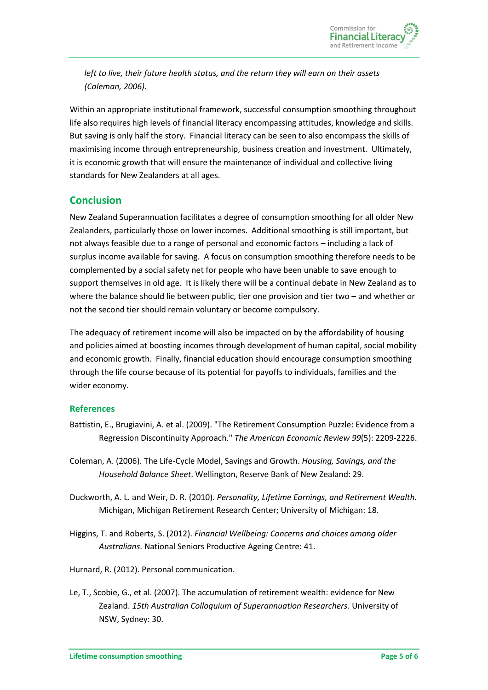

*left to live, their future health status, and the return they will earn on their assets (Coleman, 2006).*

Within an appropriate institutional framework, successful consumption smoothing throughout life also requires high levels of financial literacy encompassing attitudes, knowledge and skills. But saving is only half the story. Financial literacy can be seen to also encompass the skills of maximising income through entrepreneurship, business creation and investment. Ultimately, it is economic growth that will ensure the maintenance of individual and collective living standards for New Zealanders at all ages.

## **Conclusion**

New Zealand Superannuation facilitates a degree of consumption smoothing for all older New Zealanders, particularly those on lower incomes. Additional smoothing is still important, but not always feasible due to a range of personal and economic factors – including a lack of surplus income available for saving. A focus on consumption smoothing therefore needs to be complemented by a social safety net for people who have been unable to save enough to support themselves in old age. It is likely there will be a continual debate in New Zealand as to where the balance should lie between public, tier one provision and tier two – and whether or not the second tier should remain voluntary or become compulsory.

The adequacy of retirement income will also be impacted on by the affordability of housing and policies aimed at boosting incomes through development of human capital, social mobility and economic growth. Finally, financial education should encourage consumption smoothing through the life course because of its potential for payoffs to individuals, families and the wider economy.

#### **References**

- Battistin, E., Brugiavini, A. et al. (2009). "The Retirement Consumption Puzzle: Evidence from a Regression Discontinuity Approach." *The American Economic Review 99*(5): 2209-2226.
- Coleman, A. (2006). The Life-Cycle Model, Savings and Growth. *Housing, Savings, and the Household Balance Sheet*. Wellington, Reserve Bank of New Zealand: 29.
- Duckworth, A. L. and Weir, D. R. (2010). *Personality, Lifetime Earnings, and Retirement Wealth.* Michigan, Michigan Retirement Research Center; University of Michigan: 18.
- Higgins, T. and Roberts, S. (2012). *Financial Wellbeing: Concerns and choices among older Australians*. National Seniors Productive Ageing Centre: 41.
- Hurnard, R. (2012). Personal communication.
- Le, T., Scobie, G., et al. (2007). The accumulation of retirement wealth: evidence for New Zealand. *15th Australian Colloquium of Superannuation Researchers.* University of NSW, Sydney: 30.